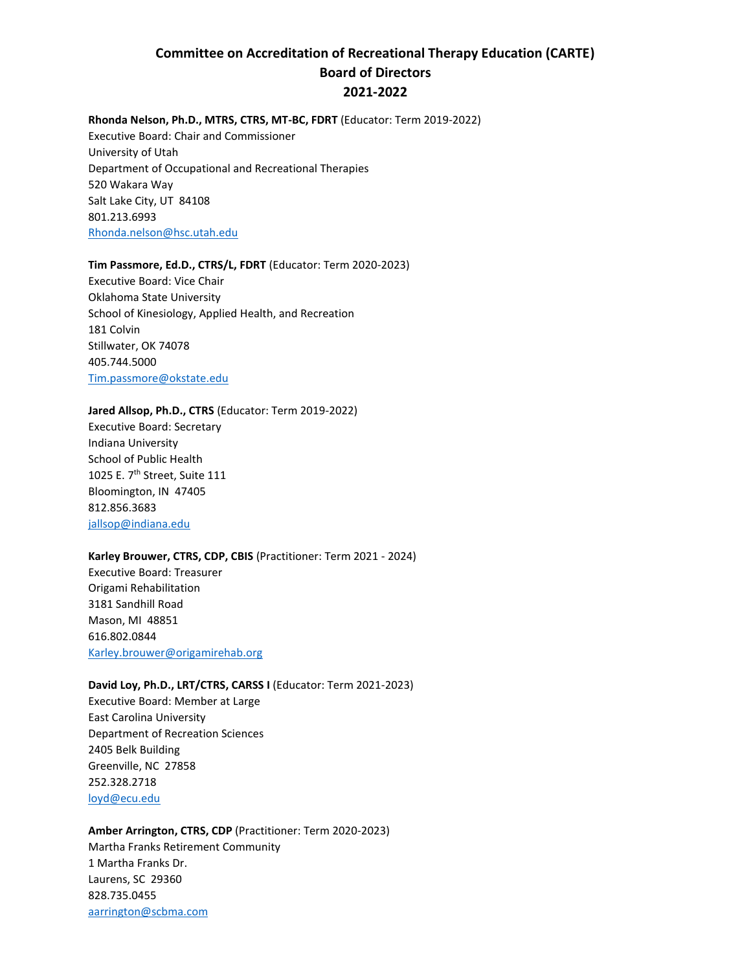# **Committee on Accreditation of Recreational Therapy Education (CARTE) Board of Directors 2021-2022**

#### **Rhonda Nelson, Ph.D., MTRS, CTRS, MT-BC, FDRT** (Educator: Term 2019-2022)

Executive Board: Chair and Commissioner University of Utah Department of Occupational and Recreational Therapies 520 Wakara Way Salt Lake City, UT 84108 801.213.6993 [Rhonda.nelson@hsc.utah.edu](mailto:Rhonda.nelson@hsc.utah.edu)

#### **Tim Passmore, Ed.D., CTRS/L, FDRT** (Educator: Term 2020-2023)

Executive Board: Vice Chair Oklahoma State University School of Kinesiology, Applied Health, and Recreation 181 Colvin Stillwater, OK 74078 405.744.5000 [Tim.passmore@okstate.edu](mailto:Tim.passmore@okstate.edu)

#### **Jared Allsop, Ph.D., CTRS** (Educator: Term 2019-2022)

Executive Board: Secretary Indiana University School of Public Health 1025 E. 7th Street, Suite 111 Bloomington, IN 47405 812.856.3683 [jallsop@indiana.edu](mailto:jallsop@indiana.edu)

#### **Karley Brouwer, CTRS, CDP, CBIS** (Practitioner: Term 2021 - 2024)

Executive Board: Treasurer Origami Rehabilitation 3181 Sandhill Road Mason, MI 48851 616.802.0844 [Karley.brouwer@origamirehab.org](mailto:Karley.brouwer@origamirehab.org)

## **David Loy, Ph.D., LRT/CTRS, CARSS I** (Educator: Term 2021-2023)

Executive Board: Member at Large East Carolina University Department of Recreation Sciences 2405 Belk Building Greenville, NC 27858 252.328.2718 [loyd@ecu.edu](mailto:loyd@ecu.edu)

# **Amber Arrington, CTRS, CDP** (Practitioner: Term 2020-2023) Martha Franks Retirement Community 1 Martha Franks Dr. Laurens, SC 29360 828.735.0455 [aarrington@scbma.com](mailto:aarrington@scbma.com)